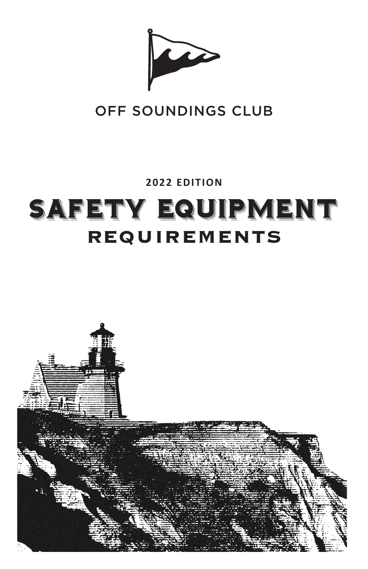

# OFF SOUNDINGS CLUB

**2022 EDITION**

# SAFETY EQUIPMENT REQUIREMENTS

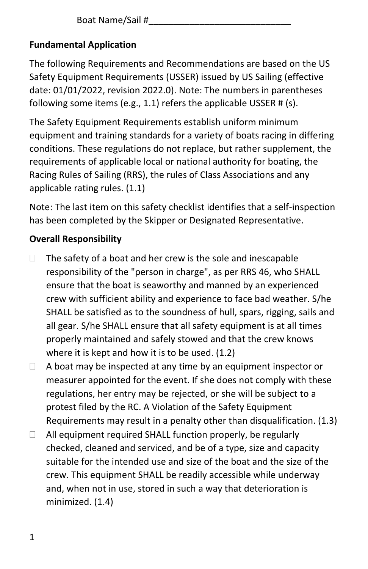Boat Name/Sail #\_\_\_\_\_\_\_\_\_\_\_\_\_\_\_\_\_\_\_\_\_\_\_\_\_\_\_\_

# **Fundamental Application**

The following Requirements and Recommendations are based on the US Safety Equipment Requirements (USSER) issued by US Sailing (effective date: 01/01/2022, revision 2022.0). Note: The numbers in parentheses following some items (e.g., 1.1) refers the applicable USSER # (s).

The Safety Equipment Requirements establish uniform minimum equipment and training standards for a variety of boats racing in differing conditions. These regulations do not replace, but rather supplement, the requirements of applicable local or national authority for boating, the Racing Rules of Sailing (RRS), the rules of Class Associations and any applicable rating rules. (1.1)

Note: The last item on this safety checklist identifies that a self-inspection has been completed by the Skipper or Designated Representative.

# **Overall Responsibility**

- $\Box$  The safety of a boat and her crew is the sole and inescapable responsibility of the "person in charge", as per RRS 46, who SHALL ensure that the boat is seaworthy and manned by an experienced crew with sufficient ability and experience to face bad weather. S/he SHALL be satisfied as to the soundness of hull, spars, rigging, sails and all gear. S/he SHALL ensure that all safety equipment is at all times properly maintained and safely stowed and that the crew knows where it is kept and how it is to be used. (1.2)
- $\Box$  A boat may be inspected at any time by an equipment inspector or measurer appointed for the event. If she does not comply with these regulations, her entry may be rejected, or she will be subject to a protest filed by the RC. A Violation of the Safety Equipment Requirements may result in a penalty other than disqualification. (1.3)
- $\Box$  All equipment required SHALL function properly, be regularly checked, cleaned and serviced, and be of a type, size and capacity suitable for the intended use and size of the boat and the size of the crew. This equipment SHALL be readily accessible while underway and, when not in use, stored in such a way that deterioration is minimized. (1.4)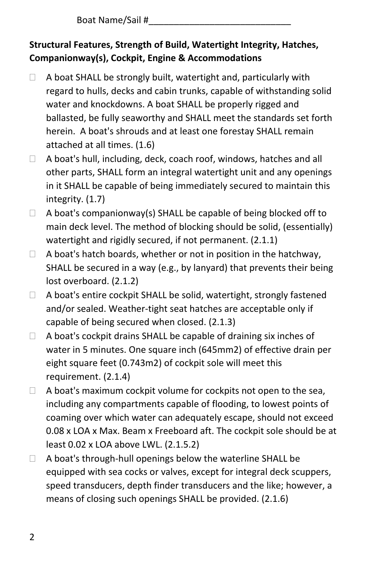Boat Name/Sail #\_\_\_\_\_\_\_\_\_\_\_\_\_\_\_\_\_\_\_\_\_\_\_\_\_\_\_\_

# **Structural Features, Strength of Build, Watertight Integrity, Hatches, Companionway(s), Cockpit, Engine & Accommodations**

- $\Box$  A boat SHALL be strongly built, watertight and, particularly with regard to hulls, decks and cabin trunks, capable of withstanding solid water and knockdowns. A boat SHALL be properly rigged and ballasted, be fully seaworthy and SHALL meet the standards set forth herein. A boat's shrouds and at least one forestay SHALL remain attached at all times. (1.6)
- $\Box$  A boat's hull, including, deck, coach roof, windows, hatches and all other parts, SHALL form an integral watertight unit and any openings in it SHALL be capable of being immediately secured to maintain this integrity. (1.7)
- $\Box$  A boat's companionway(s) SHALL be capable of being blocked off to main deck level. The method of blocking should be solid, (essentially) watertight and rigidly secured, if not permanent. (2.1.1)
- $\Box$  A boat's hatch boards, whether or not in position in the hatchway. SHALL be secured in a way (e.g., by lanyard) that prevents their being lost overboard. (2.1.2)
- $\Box$  A boat's entire cockpit SHALL be solid, watertight, strongly fastened and/or sealed. Weather-tight seat hatches are acceptable only if capable of being secured when closed. (2.1.3)
- $\Box$  A boat's cockpit drains SHALL be capable of draining six inches of water in 5 minutes. One square inch (645mm2) of effective drain per eight square feet (0.743m2) of cockpit sole will meet this requirement. (2.1.4)
- $\Box$  A boat's maximum cockpit volume for cockpits not open to the sea, including any compartments capable of flooding, to lowest points of coaming over which water can adequately escape, should not exceed 0.08 x LOA x Max. Beam x Freeboard aft. The cockpit sole should be at least 0.02 x LOA above LWL. (2.1.5.2)
- A boat's through-hull openings below the waterline SHALL be equipped with sea cocks or valves, except for integral deck scuppers, speed transducers, depth finder transducers and the like; however, a means of closing such openings SHALL be provided. (2.1.6)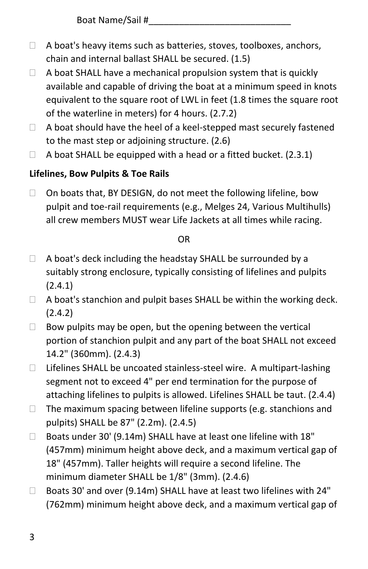- $\Box$  A boat's heavy items such as batteries, stoves, toolboxes, anchors, chain and internal ballast SHALL be secured. (1.5)
- $\Box$  A boat SHALL have a mechanical propulsion system that is quickly available and capable of driving the boat at a minimum speed in knots equivalent to the square root of LWL in feet (1.8 times the square root of the waterline in meters) for 4 hours. (2.7.2)
- $\Box$  A boat should have the heel of a keel-stepped mast securely fastened to the mast step or adjoining structure. (2.6)
- $\Box$  A boat SHALL be equipped with a head or a fitted bucket. (2.3.1)

# **Lifelines, Bow Pulpits & Toe Rails**

 $\Box$  On boats that, BY DESIGN, do not meet the following lifeline, bow pulpit and toe-rail requirements (e.g., Melges 24, Various Multihulls) all crew members MUST wear Life Jackets at all times while racing.

#### OR

- $\Box$  A boat's deck including the headstay SHALL be surrounded by a suitably strong enclosure, typically consisting of lifelines and pulpits (2.4.1)
- $\Box$  A boat's stanchion and pulpit bases SHALL be within the working deck. (2.4.2)
- $\Box$  Bow pulpits may be open, but the opening between the vertical portion of stanchion pulpit and any part of the boat SHALL not exceed 14.2" (360mm). (2.4.3)
- $\Box$  Lifelines SHALL be uncoated stainless-steel wire. A multipart-lashing segment not to exceed 4" per end termination for the purpose of attaching lifelines to pulpits is allowed. Lifelines SHALL be taut. (2.4.4)
- $\Box$  The maximum spacing between lifeline supports (e.g. stanchions and pulpits) SHALL be 87" (2.2m). (2.4.5)
- □ Boats under 30' (9.14m) SHALL have at least one lifeline with 18" (457mm) minimum height above deck, and a maximum vertical gap of 18" (457mm). Taller heights will require a second lifeline. The minimum diameter SHALL be 1/8" (3mm). (2.4.6)
- Boats 30' and over (9.14m) SHALL have at least two lifelines with 24" (762mm) minimum height above deck, and a maximum vertical gap of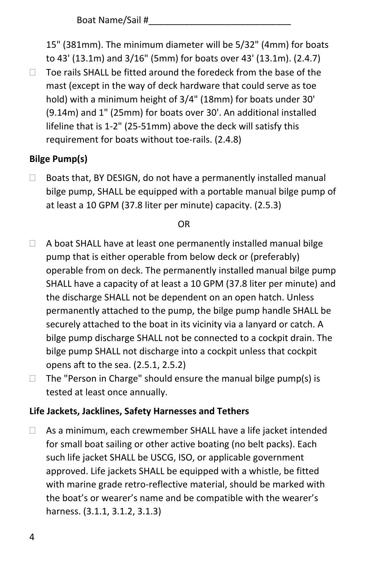15" (381mm). The minimum diameter will be 5/32" (4mm) for boats to 43' (13.1m) and 3/16" (5mm) for boats over 43' (13.1m). (2.4.7)  $\Box$  Toe rails SHALL be fitted around the foredeck from the base of the mast (except in the way of deck hardware that could serve as toe hold) with a minimum height of 3/4" (18mm) for boats under 30' (9.14m) and 1" (25mm) for boats over 30'. An additional installed lifeline that is 1-2" (25-51mm) above the deck will satisfy this requirement for boats without toe-rails. (2.4.8)

# **Bilge Pump(s)**

 $\Box$  Boats that, BY DESIGN, do not have a permanently installed manual bilge pump, SHALL be equipped with a portable manual bilge pump of at least a 10 GPM (37.8 liter per minute) capacity. (2.5.3)

#### OR

- $\Box$  A boat SHALL have at least one permanently installed manual bilge pump that is either operable from below deck or (preferably) operable from on deck. The permanently installed manual bilge pump SHALL have a capacity of at least a 10 GPM (37.8 liter per minute) and the discharge SHALL not be dependent on an open hatch. Unless permanently attached to the pump, the bilge pump handle SHALL be securely attached to the boat in its vicinity via a lanyard or catch. A bilge pump discharge SHALL not be connected to a cockpit drain. The bilge pump SHALL not discharge into a cockpit unless that cockpit opens aft to the sea. (2.5.1, 2.5.2)
- $\Box$  The "Person in Charge" should ensure the manual bilge pump(s) is tested at least once annually.

#### **Life Jackets, Jacklines, Safety Harnesses and Tethers**

 $\Box$  As a minimum, each crewmember SHALL have a life jacket intended for small boat sailing or other active boating (no belt packs). Each such life jacket SHALL be USCG, ISO, or applicable government approved. Life jackets SHALL be equipped with a whistle, be fitted with marine grade retro-reflective material, should be marked with the boat's or wearer's name and be compatible with the wearer's harness. (3.1.1, 3.1.2, 3.1.3)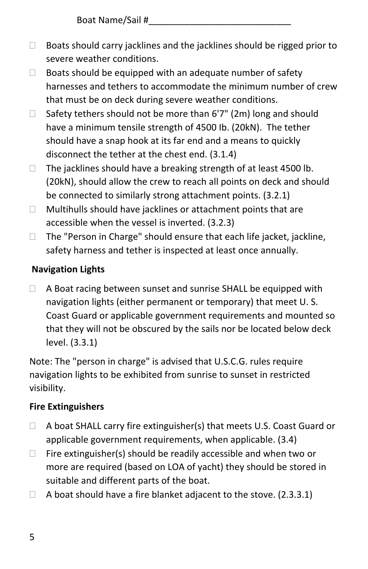- $\Box$  Boats should carry jacklines and the jacklines should be rigged prior to severe weather conditions.
- $\Box$  Boats should be equipped with an adequate number of safety harnesses and tethers to accommodate the minimum number of crew that must be on deck during severe weather conditions.
- $\Box$  Safety tethers should not be more than 6'7" (2m) long and should have a minimum tensile strength of 4500 Ib. (20kN). The tether should have a snap hook at its far end and a means to quickly disconnect the tether at the chest end. (3.1.4)
- $\Box$  The jacklines should have a breaking strength of at least 4500 lb. (20kN), should allow the crew to reach all points on deck and should be connected to similarly strong attachment points. (3.2.1)
- $\Box$  Multihulls should have jacklines or attachment points that are accessible when the vessel is inverted. (3.2.3)
- $\Box$  The "Person in Charge" should ensure that each life jacket, jackline, safety harness and tether is inspected at least once annually.

# **Navigation Lights**

□ A Boat racing between sunset and sunrise SHALL be equipped with navigation lights (either permanent or temporary) that meet U. S. Coast Guard or applicable government requirements and mounted so that they will not be obscured by the sails nor be located below deck level. (3.3.1)

Note: The "person in charge" is advised that U.S.C.G. rules require navigation lights to be exhibited from sunrise to sunset in restricted visibility.

# **Fire Extinguishers**

- □ A boat SHALL carry fire extinguisher(s) that meets U.S. Coast Guard or applicable government requirements, when applicable. (3.4)
- $\Box$  Fire extinguisher(s) should be readily accessible and when two or more are required (based on LOA of yacht) they should be stored in suitable and different parts of the boat.
- $\Box$  A boat should have a fire blanket adjacent to the stove. (2.3.3.1)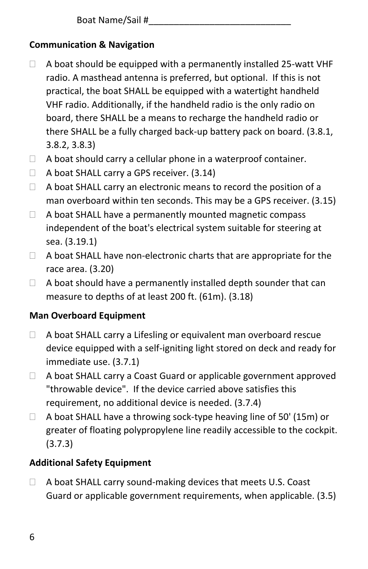Boat Name/Sail #

# **Communication & Navigation**

- $\Box$  A boat should be equipped with a permanently installed 25-watt VHF radio. A masthead antenna is preferred, but optional. If this is not practical, the boat SHALL be equipped with a watertight handheld VHF radio. Additionally, if the handheld radio is the only radio on board, there SHALL be a means to recharge the handheld radio or there SHALL be a fully charged back-up battery pack on board. (3.8.1, 3.8.2, 3.8.3)
- $\Box$  A boat should carry a cellular phone in a waterproof container.
- $\Box$  A boat SHALL carry a GPS receiver. (3.14)
- $\Box$  A boat SHALL carry an electronic means to record the position of a man overboard within ten seconds. This may be a GPS receiver. (3.15)
- $\Box$  A boat SHALL have a permanently mounted magnetic compass independent of the boat's electrical system suitable for steering at sea. (3.19.1)
- $\Box$  A boat SHALL have non-electronic charts that are appropriate for the race area. (3.20)
- $\Box$  A boat should have a permanently installed depth sounder that can measure to depths of at least 200 ft. (61m). (3.18)

#### **Man Overboard Equipment**

- $\Box$  A boat SHALL carry a Lifesling or equivalent man overboard rescue device equipped with a self-igniting light stored on deck and ready for immediate use. (3.7.1)
- A boat SHALL carry a Coast Guard or applicable government approved "throwable device". If the device carried above satisfies this requirement, no additional device is needed. (3.7.4)
- $\Box$  A boat SHALL have a throwing sock-type heaving line of 50' (15m) or greater of floating polypropylene line readily accessible to the cockpit. (3.7.3)

# **Additional Safety Equipment**

 $\Box$  A boat SHALL carry sound-making devices that meets U.S. Coast Guard or applicable government requirements, when applicable. (3.5)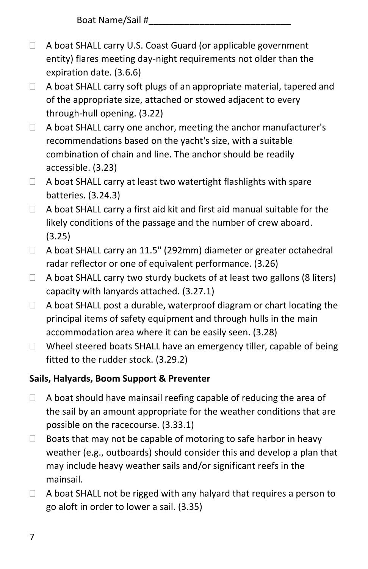- □ A boat SHALL carry U.S. Coast Guard (or applicable government entity) flares meeting day-night requirements not older than the expiration date. (3.6.6)
- $\Box$  A boat SHALL carry soft plugs of an appropriate material, tapered and of the appropriate size, attached or stowed adjacent to every through-hull opening. (3.22)
- □ A boat SHALL carry one anchor, meeting the anchor manufacturer's recommendations based on the yacht's size, with a suitable combination of chain and line. The anchor should be readily accessible. (3.23)
- $\Box$  A boat SHALL carry at least two watertight flashlights with spare batteries. (3.24.3)
- $\Box$  A boat SHALL carry a first aid kit and first aid manual suitable for the likely conditions of the passage and the number of crew aboard. (3.25)
- A boat SHALL carry an 11.5" (292mm) diameter or greater octahedral radar reflector or one of equivalent performance. (3.26)
- $\Box$  A boat SHALL carry two sturdy buckets of at least two gallons (8 liters) capacity with lanyards attached. (3.27.1)
- $\Box$  A boat SHALL post a durable, waterproof diagram or chart locating the principal items of safety equipment and through hulls in the main accommodation area where it can be easily seen. (3.28)
- $\Box$  Wheel steered boats SHALL have an emergency tiller, capable of being fitted to the rudder stock. (3.29.2)

# **Sails, Halyards, Boom Support & Preventer**

- $\Box$  A boat should have mainsail reefing capable of reducing the area of the sail by an amount appropriate for the weather conditions that are possible on the racecourse. (3.33.1)
- $\Box$  Boats that may not be capable of motoring to safe harbor in heavy weather (e.g., outboards) should consider this and develop a plan that may include heavy weather sails and/or significant reefs in the mainsail.
- $\Box$  A boat SHALL not be rigged with any halyard that requires a person to go aloft in order to lower a sail. (3.35)